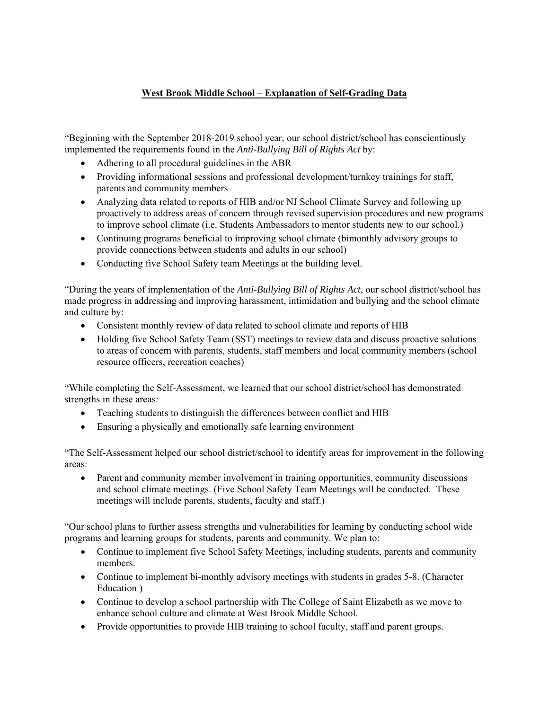## **West Brook Middle School – Explanation of Self-Grading Data**

"Beginning with the September 2018-2019 school year, our school district/school has conscientiously implemented the requirements found in the *Anti-Bullying Bill of Rights Act* by:

- Adhering to all procedural guidelines in the ABR
- Providing informational sessions and professional development/turnkey trainings for staff, parents and community members
- Analyzing data related to reports of HIB and/or NJ School Climate Survey and following up proactively to address areas of concern through revised supervision procedures and new programs to improve school climate (i.e. Students Ambassadors to mentor students new to our school.)
- Continuing programs beneficial to improving school climate (bimonthly advisory groups to provide connections between students and adults in our school)
- Conducting five School Safety team Meetings at the building level.

"During the years of implementation of the *Anti-Bullying Bill of Rights Act*, our school district/school has made progress in addressing and improving harassment, intimidation and bullying and the school climate and culture by:

- Consistent monthly review of data related to school climate and reports of HIB
- Holding five School Safety Team (SST) meetings to review data and discuss proactive solutions to areas of concern with parents, students, staff members and local community members (school resource officers, recreation coaches)

"While completing the Self-Assessment, we learned that our school district/school has demonstrated strengths in these areas:

- Teaching students to distinguish the differences between conflict and HIB
- Ensuring a physically and emotionally safe learning environment

"The Self-Assessment helped our school district/school to identify areas for improvement in the following areas:

• Parent and community member involvement in training opportunities, community discussions and school climate meetings. (Five School Safety Team Meetings will be conducted. These meetings will include parents, students, faculty and staff.)

"Our school plans to further assess strengths and vulnerabilities for learning by conducting school wide programs and learning groups for students, parents and community. We plan to:

- Continue to implement five School Safety Meetings, including students, parents and community members.
- Continue to implement bi-monthly advisory meetings with students in grades 5-8. (Character Education )
- Continue to develop a school partnership with The College of Saint Elizabeth as we move to enhance school culture and climate at West Brook Middle School.
- Provide opportunities to provide HIB training to school faculty, staff and parent groups.